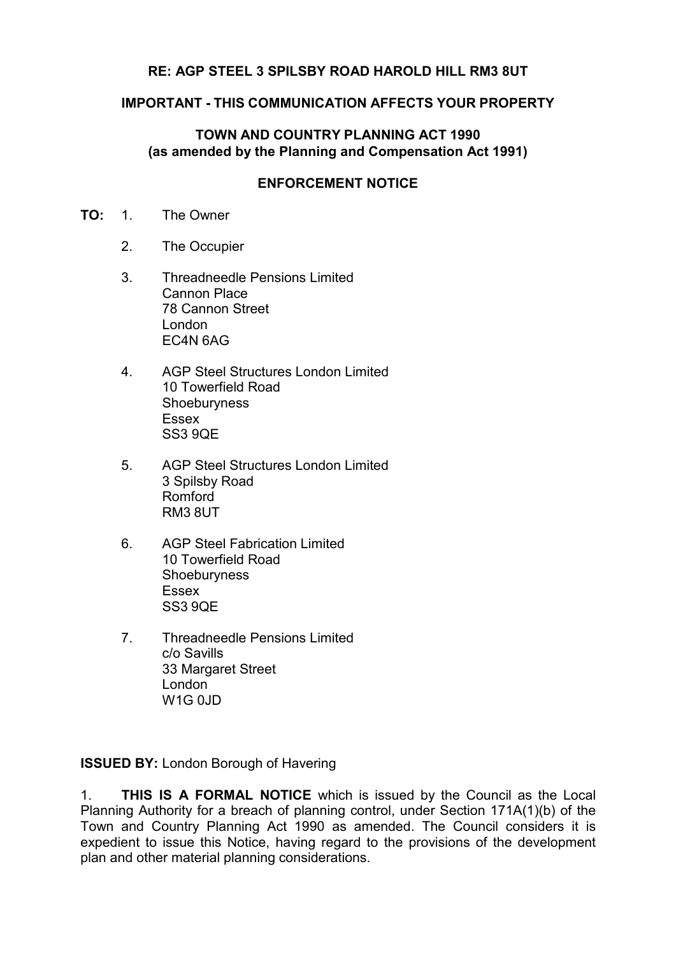## **RE: AGP STEEL 3 SPILSBY ROAD HAROLD HILL RM3 8UT**

### **IMPORTANT - THIS COMMUNICATION AFFECTS YOUR PROPERTY**

## **TOWN AND COUNTRY PLANNING ACT 1990 (as amended by the Planning and Compensation Act 1991)**

#### **ENFORCEMENT NOTICE**

- **TO:** 1. The Owner
	- 2. The Occupier
	- 3. Threadneedle Pensions Limited Cannon Place 78 Cannon Street London EC4N 6AG
	- 4. AGP Steel Structures London Limited 10 Towerfield Road Shoeburyness Essex SS3 9QE
	- 5. AGP Steel Structures London Limited 3 Spilsby Road Romford RM3 8UT
	- 6. AGP Steel Fabrication Limited 10 Towerfield Road **Shoeburyness** Essex SS3 9QE
	- 7. Threadneedle Pensions Limited c/o Savills 33 Margaret Street London W1G 0JD

**ISSUED BY:** London Borough of Havering

1. **THIS IS A FORMAL NOTICE** which is issued by the Council as the Local Planning Authority for a breach of planning control, under Section 171A(1)(b) of the Town and Country Planning Act 1990 as amended. The Council considers it is expedient to issue this Notice, having regard to the provisions of the development plan and other material planning considerations.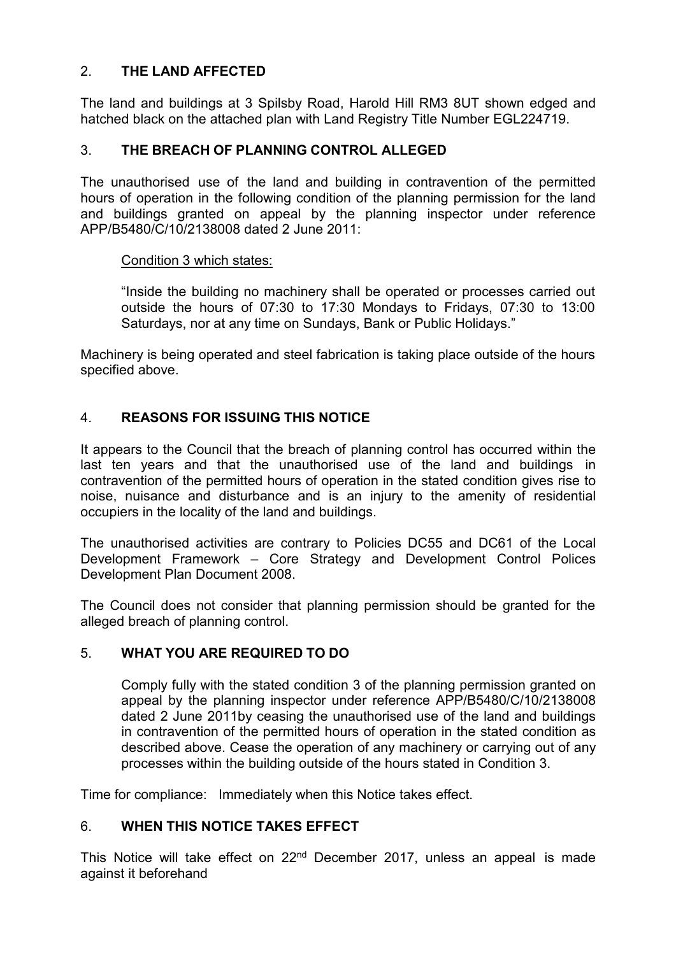## 2. **THE LAND AFFECTED**

The land and buildings at 3 Spilsby Road, Harold Hill RM3 8UT shown edged and hatched black on the attached plan with Land Registry Title Number EGL224719.

## 3. **THE BREACH OF PLANNING CONTROL ALLEGED**

The unauthorised use of the land and building in contravention of the permitted hours of operation in the following condition of the planning permission for the land and buildings granted on appeal by the planning inspector under reference APP/B5480/C/10/2138008 dated 2 June 2011:

#### Condition 3 which states:

"Inside the building no machinery shall be operated or processes carried out outside the hours of 07:30 to 17:30 Mondays to Fridays, 07:30 to 13:00 Saturdays, nor at any time on Sundays, Bank or Public Holidays."

Machinery is being operated and steel fabrication is taking place outside of the hours specified above.

## 4. **REASONS FOR ISSUING THIS NOTICE**

It appears to the Council that the breach of planning control has occurred within the last ten years and that the unauthorised use of the land and buildings in contravention of the permitted hours of operation in the stated condition gives rise to noise, nuisance and disturbance and is an injury to the amenity of residential occupiers in the locality of the land and buildings.

The unauthorised activities are contrary to Policies DC55 and DC61 of the Local Development Framework – Core Strategy and Development Control Polices Development Plan Document 2008.

The Council does not consider that planning permission should be granted for the alleged breach of planning control.

## 5. **WHAT YOU ARE REQUIRED TO DO**

Comply fully with the stated condition 3 of the planning permission granted on appeal by the planning inspector under reference APP/B5480/C/10/2138008 dated 2 June 2011by ceasing the unauthorised use of the land and buildings in contravention of the permitted hours of operation in the stated condition as described above. Cease the operation of any machinery or carrying out of any processes within the building outside of the hours stated in Condition 3.

Time for compliance: Immediately when this Notice takes effect.

## 6. **WHEN THIS NOTICE TAKES EFFECT**

This Notice will take effect on 22<sup>nd</sup> December 2017, unless an appeal is made against it beforehand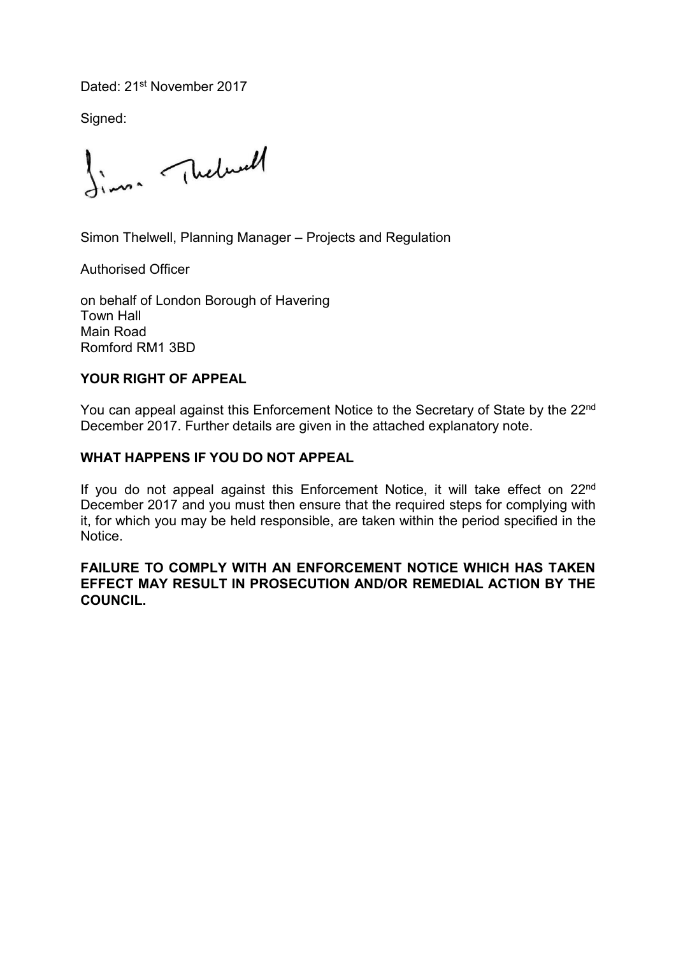Dated: 21<sup>st</sup> November 2017

Signed:

finne Theburst

Simon Thelwell, Planning Manager – Projects and Regulation

Authorised Officer

on behalf of London Borough of Havering Town Hall Main Road Romford RM1 3BD

## **YOUR RIGHT OF APPEAL**

You can appeal against this Enforcement Notice to the Secretary of State by the 22<sup>nd</sup> December 2017. Further details are given in the attached explanatory note.

## **WHAT HAPPENS IF YOU DO NOT APPEAL**

If you do not appeal against this Enforcement Notice, it will take effect on 22<sup>nd</sup> December 2017 and you must then ensure that the required steps for complying with it, for which you may be held responsible, are taken within the period specified in the **Notice** 

### **FAILURE TO COMPLY WITH AN ENFORCEMENT NOTICE WHICH HAS TAKEN EFFECT MAY RESULT IN PROSECUTION AND/OR REMEDIAL ACTION BY THE COUNCIL.**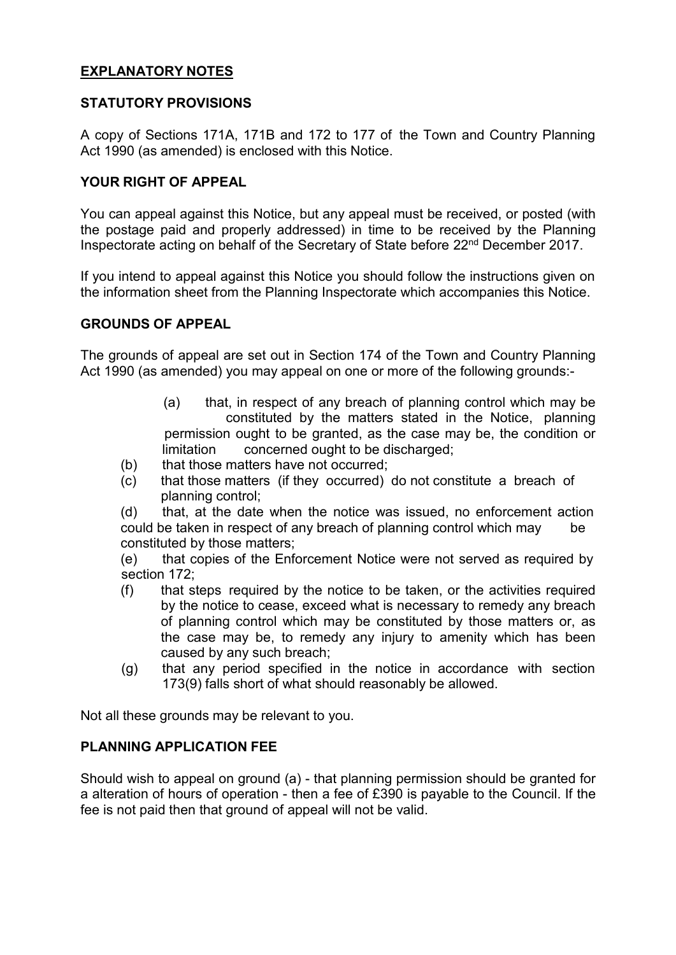### **EXPLANATORY NOTES**

### **STATUTORY PROVISIONS**

A copy of Sections 171A, 171B and 172 to 177 of the Town and Country Planning Act 1990 (as amended) is enclosed with this Notice.

#### **YOUR RIGHT OF APPEAL**

You can appeal against this Notice, but any appeal must be received, or posted (with the postage paid and properly addressed) in time to be received by the Planning Inspectorate acting on behalf of the Secretary of State before 22<sup>nd</sup> December 2017.

If you intend to appeal against this Notice you should follow the instructions given on the information sheet from the Planning Inspectorate which accompanies this Notice.

#### **GROUNDS OF APPEAL**

The grounds of appeal are set out in Section 174 of the Town and Country Planning Act 1990 (as amended) you may appeal on one or more of the following grounds:-

- (a) that, in respect of any breach of planning control which may be constituted by the matters stated in the Notice, planning permission ought to be granted, as the case may be, the condition or limitation concerned ought to be discharged;
- (b) that those matters have not occurred;
- (c) that those matters (if they occurred) do not constitute a breach of planning control;

(d) that, at the date when the notice was issued, no enforcement action could be taken in respect of any breach of planning control which may be constituted by those matters;

(e) that copies of the Enforcement Notice were not served as required by section 172;

- (f) that steps required by the notice to be taken, or the activities required by the notice to cease, exceed what is necessary to remedy any breach of planning control which may be constituted by those matters or, as the case may be, to remedy any injury to amenity which has been caused by any such breach;
- (g) that any period specified in the notice in accordance with section 173(9) falls short of what should reasonably be allowed.

Not all these grounds may be relevant to you.

#### **PLANNING APPLICATION FEE**

Should wish to appeal on ground (a) - that planning permission should be granted for a alteration of hours of operation - then a fee of £390 is payable to the Council. If the fee is not paid then that ground of appeal will not be valid.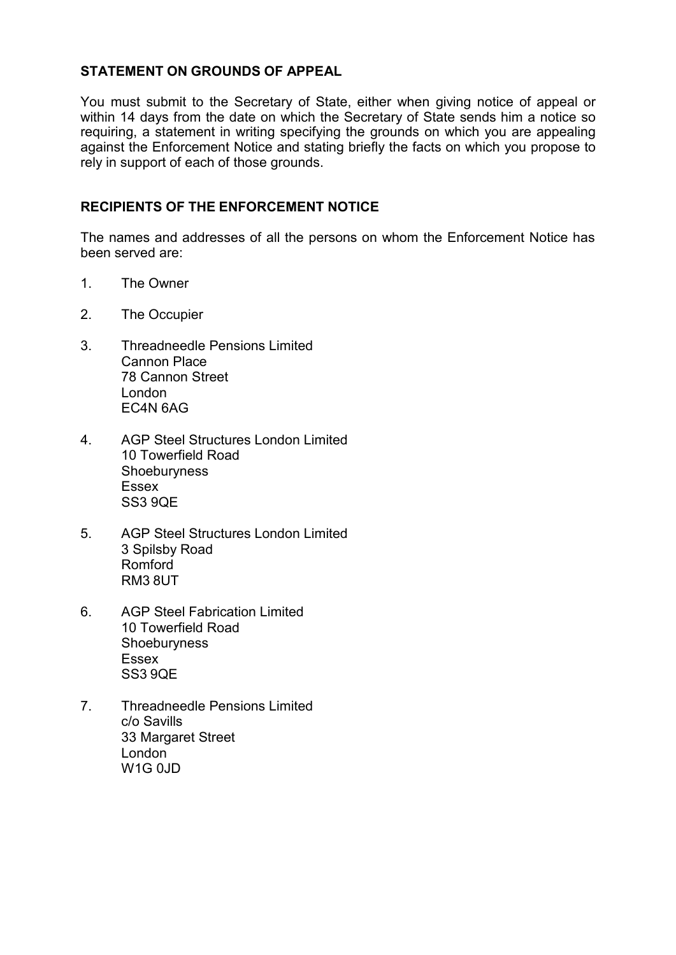### **STATEMENT ON GROUNDS OF APPEAL**

You must submit to the Secretary of State, either when giving notice of appeal or within 14 days from the date on which the Secretary of State sends him a notice so requiring, a statement in writing specifying the grounds on which you are appealing against the Enforcement Notice and stating briefly the facts on which you propose to rely in support of each of those grounds.

### **RECIPIENTS OF THE ENFORCEMENT NOTICE**

The names and addresses of all the persons on whom the Enforcement Notice has been served are:

- 1. The Owner
- 2. The Occupier
- 3. Threadneedle Pensions Limited Cannon Place 78 Cannon Street London EC4N 6AG
- 4. AGP Steel Structures London Limited 10 Towerfield Road **Shoeburyness** Essex SS3 9QE
- 5. AGP Steel Structures London Limited 3 Spilsby Road Romford RM3 8UT
- 6. AGP Steel Fabrication Limited 10 Towerfield Road **Shoeburyness** Essex SS3 9QE
- 7. Threadneedle Pensions Limited c/o Savills 33 Margaret Street London  $W1G$   $0$ ,  $ID$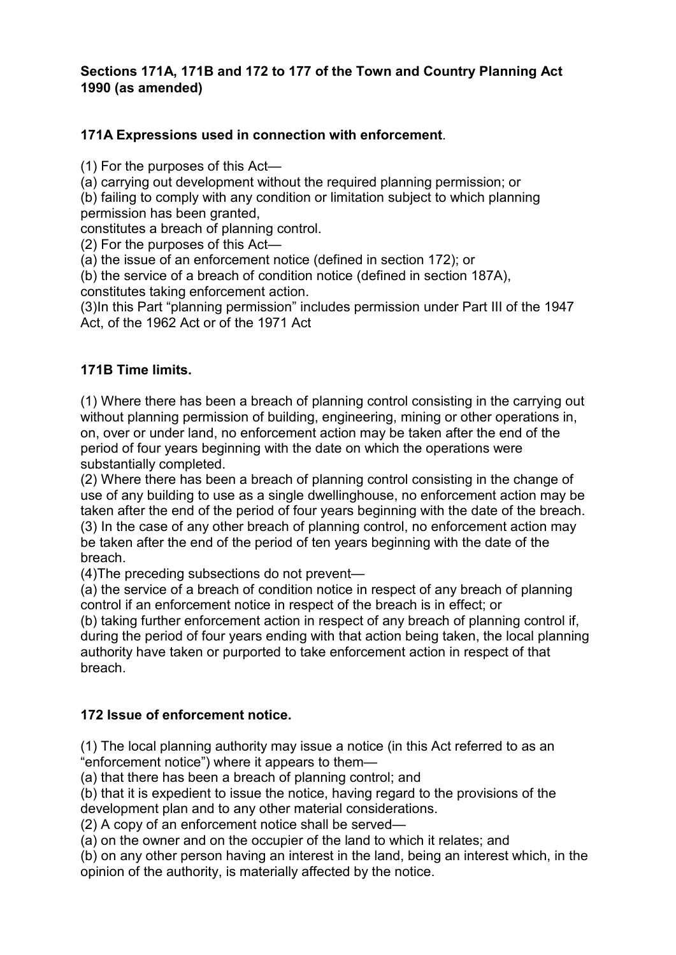## **Sections 171A, 171B and 172 to 177 of the Town and Country Planning Act 1990 (as amended)**

### **171A Expressions used in connection with enforcement**.

(1) For the purposes of this Act—

(a) carrying out development without the required planning permission; or

(b) failing to comply with any condition or limitation subject to which planning permission has been granted,

constitutes a breach of planning control.

(2) For the purposes of this Act—

(a) the issue of an enforcement notice (defined in section 172); or

(b) the service of a breach of condition notice (defined in section 187A),

constitutes taking enforcement action.

(3)In this Part "planning permission" includes permission under Part III of the 1947 Act, of the 1962 Act or of the 1971 Act

### **171B Time limits.**

(1) Where there has been a breach of planning control consisting in the carrying out without planning permission of building, engineering, mining or other operations in, on, over or under land, no enforcement action may be taken after the end of the period of four years beginning with the date on which the operations were substantially completed.

(2) Where there has been a breach of planning control consisting in the change of use of any building to use as a single dwellinghouse, no enforcement action may be taken after the end of the period of four years beginning with the date of the breach. (3) In the case of any other breach of planning control, no enforcement action may be taken after the end of the period of ten years beginning with the date of the breach.

(4)The preceding subsections do not prevent—

(a) the service of a breach of condition notice in respect of any breach of planning control if an enforcement notice in respect of the breach is in effect; or

(b) taking further enforcement action in respect of any breach of planning control if, during the period of four years ending with that action being taken, the local planning authority have taken or purported to take enforcement action in respect of that breach.

## **172 Issue of enforcement notice.**

(1) The local planning authority may issue a notice (in this Act referred to as an "enforcement notice") where it appears to them—

(a) that there has been a breach of planning control; and

(b) that it is expedient to issue the notice, having regard to the provisions of the development plan and to any other material considerations.

(2) A copy of an enforcement notice shall be served—

(a) on the owner and on the occupier of the land to which it relates; and

(b) on any other person having an interest in the land, being an interest which, in the opinion of the authority, is materially affected by the notice.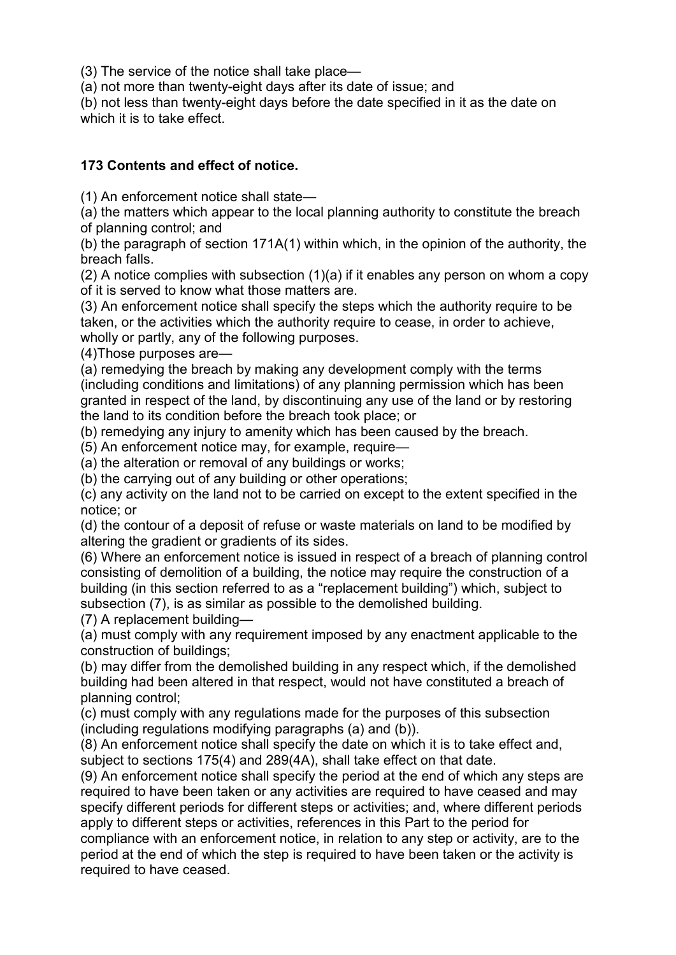(3) The service of the notice shall take place—

(a) not more than twenty-eight days after its date of issue; and

(b) not less than twenty-eight days before the date specified in it as the date on which it is to take effect.

## **173 Contents and effect of notice.**

(1) An enforcement notice shall state—

(a) the matters which appear to the local planning authority to constitute the breach of planning control; and

(b) the paragraph of section 171A(1) within which, in the opinion of the authority, the breach falls.

(2) A notice complies with subsection (1)(a) if it enables any person on whom a copy of it is served to know what those matters are.

(3) An enforcement notice shall specify the steps which the authority require to be taken, or the activities which the authority require to cease, in order to achieve, wholly or partly, any of the following purposes.

(4)Those purposes are—

(a) remedying the breach by making any development comply with the terms (including conditions and limitations) of any planning permission which has been granted in respect of the land, by discontinuing any use of the land or by restoring the land to its condition before the breach took place; or

(b) remedying any injury to amenity which has been caused by the breach.

(5) An enforcement notice may, for example, require—

(a) the alteration or removal of any buildings or works;

(b) the carrying out of any building or other operations;

(c) any activity on the land not to be carried on except to the extent specified in the notice; or

(d) the contour of a deposit of refuse or waste materials on land to be modified by altering the gradient or gradients of its sides.

(6) Where an enforcement notice is issued in respect of a breach of planning control consisting of demolition of a building, the notice may require the construction of a building (in this section referred to as a "replacement building") which, subject to subsection (7), is as similar as possible to the demolished building.

(7) A replacement building—

(a) must comply with any requirement imposed by any enactment applicable to the construction of buildings;

(b) may differ from the demolished building in any respect which, if the demolished building had been altered in that respect, would not have constituted a breach of planning control;

(c) must comply with any regulations made for the purposes of this subsection (including regulations modifying paragraphs (a) and (b)).

(8) An enforcement notice shall specify the date on which it is to take effect and, subject to sections 175(4) and 289(4A), shall take effect on that date.

(9) An enforcement notice shall specify the period at the end of which any steps are required to have been taken or any activities are required to have ceased and may specify different periods for different steps or activities; and, where different periods apply to different steps or activities, references in this Part to the period for

compliance with an enforcement notice, in relation to any step or activity, are to the period at the end of which the step is required to have been taken or the activity is required to have ceased.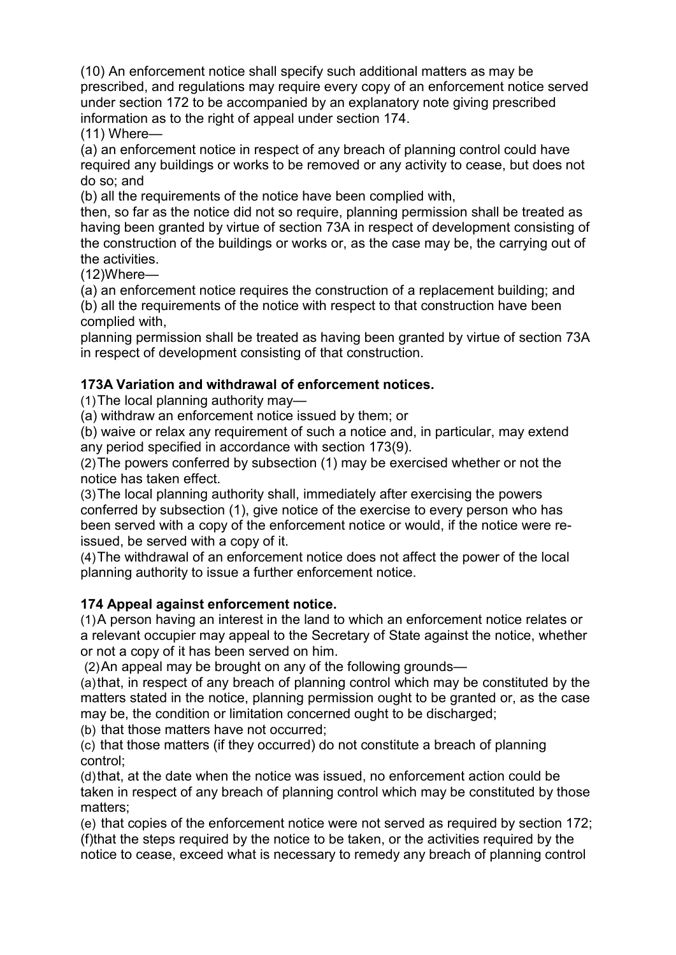(10) An enforcement notice shall specify such additional matters as may be prescribed, and regulations may require every copy of an enforcement notice served under section 172 to be accompanied by an explanatory note giving prescribed information as to the right of appeal under section 174.

(11) Where—

(a) an enforcement notice in respect of any breach of planning control could have required any buildings or works to be removed or any activity to cease, but does not do so; and

(b) all the requirements of the notice have been complied with,

then, so far as the notice did not so require, planning permission shall be treated as having been granted by virtue of section 73A in respect of development consisting of the construction of the buildings or works or, as the case may be, the carrying out of the activities.

(12)Where—

(a) an enforcement notice requires the construction of a replacement building; and (b) all the requirements of the notice with respect to that construction have been complied with,

planning permission shall be treated as having been granted by virtue of section 73A in respect of development consisting of that construction.

## **173A Variation and withdrawal of enforcement notices.**

(1)The local planning authority may—

(a) withdraw an enforcement notice issued by them; or

(b) waive or relax any requirement of such a notice and, in particular, may extend any period specified in accordance with section 173(9).

(2)The powers conferred by subsection (1) may be exercised whether or not the notice has taken effect.

(3)The local planning authority shall, immediately after exercising the powers conferred by subsection (1), give notice of the exercise to every person who has been served with a copy of the enforcement notice or would, if the notice were reissued, be served with a copy of it.

(4)The withdrawal of an enforcement notice does not affect the power of the local planning authority to issue a further enforcement notice.

## **174 Appeal against enforcement notice.**

(1)A person having an interest in the land to which an enforcement notice relates or a relevant occupier may appeal to the Secretary of State against the notice, whether or not a copy of it has been served on him.

(2)An appeal may be brought on any of the following grounds—

(a)that, in respect of any breach of planning control which may be constituted by the matters stated in the notice, planning permission ought to be granted or, as the case may be, the condition or limitation concerned ought to be discharged;

(b) that those matters have not occurred;

(c) that those matters (if they occurred) do not constitute a breach of planning control;

(d)that, at the date when the notice was issued, no enforcement action could be taken in respect of any breach of planning control which may be constituted by those matters;

(e) that copies of the enforcement notice were not served as required by section 172; (f)that the steps required by the notice to be taken, or the activities required by the notice to cease, exceed what is necessary to remedy any breach of planning control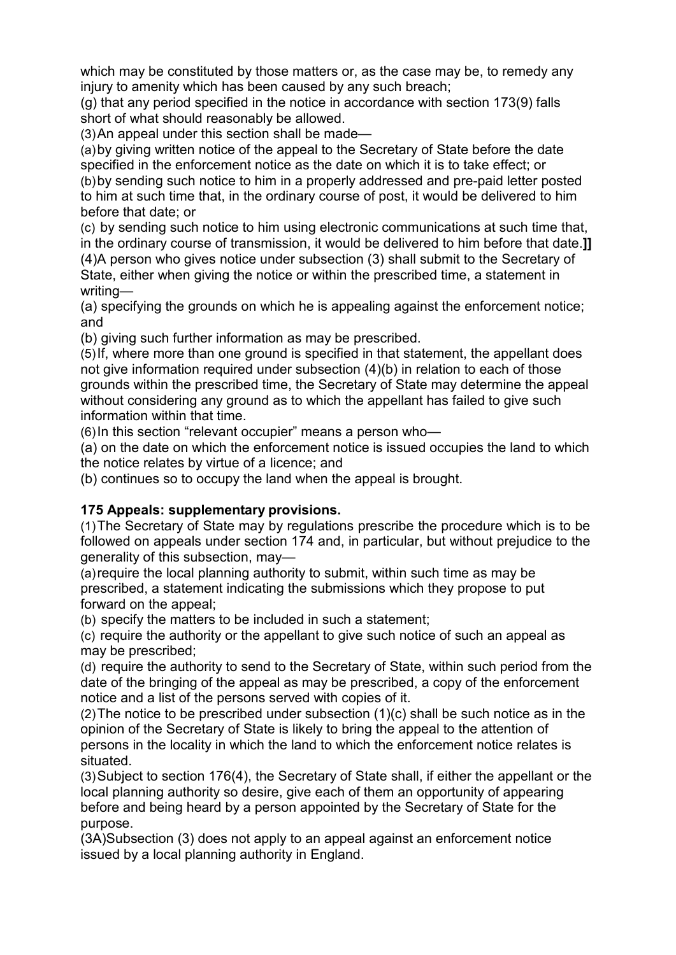which may be constituted by those matters or, as the case may be, to remedy any injury to amenity which has been caused by any such breach;

(g) that any period specified in the notice in accordance with section 173(9) falls short of what should reasonably be allowed.

(3)An appeal under this section shall be made—

(a)by giving written notice of the appeal to the Secretary of State before the date specified in the enforcement notice as the date on which it is to take effect; or (b)by sending such notice to him in a properly addressed and pre-paid letter posted to him at such time that, in the ordinary course of post, it would be delivered to him before that date; or

(c) by sending such notice to him using electronic communications at such time that, in the ordinary course of transmission, it would be delivered to him before that date.**]]** (4)A person who gives notice under subsection (3) shall submit to the Secretary of State, either when giving the notice or within the prescribed time, a statement in writing—

(a) specifying the grounds on which he is appealing against the enforcement notice; and

(b) giving such further information as may be prescribed.

(5)If, where more than one ground is specified in that statement, the appellant does not give information required under subsection (4)(b) in relation to each of those grounds within the prescribed time, the Secretary of State may determine the appeal without considering any ground as to which the appellant has failed to give such information within that time.

(6)In this section "relevant occupier" means a person who—

(a) on the date on which the enforcement notice is issued occupies the land to which the notice relates by virtue of a licence; and

(b) continues so to occupy the land when the appeal is brought.

## **175 Appeals: supplementary provisions.**

(1)The Secretary of State may by regulations prescribe the procedure which is to be followed on appeals under section 174 and, in particular, but without prejudice to the generality of this subsection, may—

(a)require the local planning authority to submit, within such time as may be prescribed, a statement indicating the submissions which they propose to put forward on the appeal;

(b) specify the matters to be included in such a statement;

(c) require the authority or the appellant to give such notice of such an appeal as may be prescribed;

(d) require the authority to send to the Secretary of State, within such period from the date of the bringing of the appeal as may be prescribed, a copy of the enforcement notice and a list of the persons served with copies of it.

(2)The notice to be prescribed under subsection (1)(c) shall be such notice as in the opinion of the Secretary of State is likely to bring the appeal to the attention of persons in the locality in which the land to which the enforcement notice relates is situated.

(3)Subject to section 176(4), the Secretary of State shall, if either the appellant or the local planning authority so desire, give each of them an opportunity of appearing before and being heard by a person appointed by the Secretary of State for the purpose.

(3A)Subsection (3) does not apply to an appeal against an enforcement notice issued by a local planning authority in England.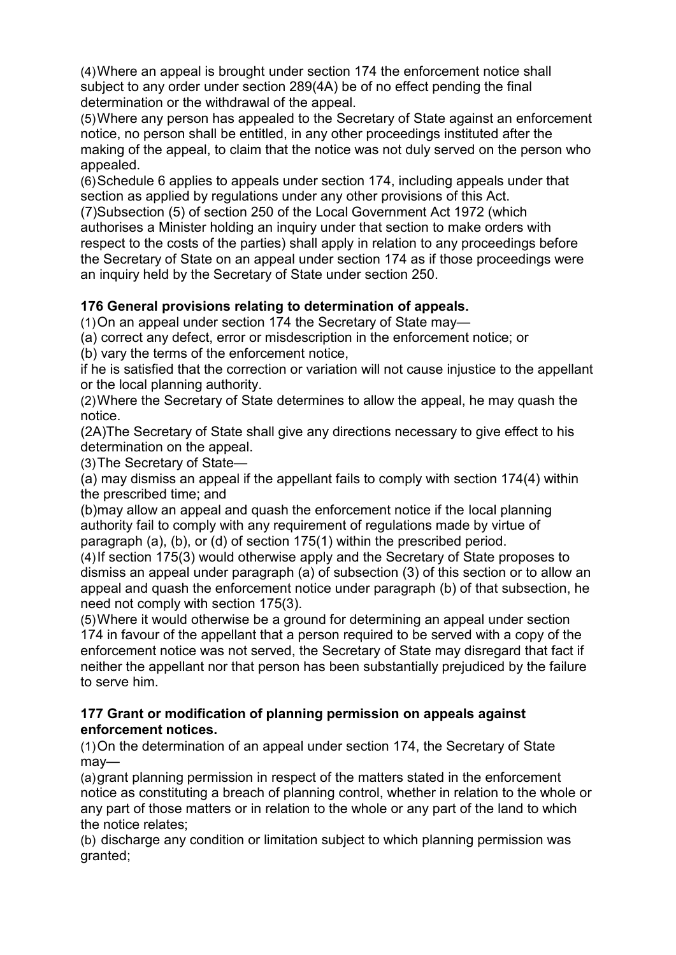(4)Where an appeal is brought under section 174 the enforcement notice shall subject to any order under section 289(4A) be of no effect pending the final determination or the withdrawal of the appeal.

(5)Where any person has appealed to the Secretary of State against an enforcement notice, no person shall be entitled, in any other proceedings instituted after the making of the appeal, to claim that the notice was not duly served on the person who appealed.

(6)Schedule 6 applies to appeals under section 174, including appeals under that section as applied by regulations under any other provisions of this Act. (7)Subsection (5) of section 250 of the Local Government Act 1972 (which authorises a Minister holding an inquiry under that section to make orders with respect to the costs of the parties) shall apply in relation to any proceedings before the Secretary of State on an appeal under section 174 as if those proceedings were an inquiry held by the Secretary of State under section 250.

# **176 General provisions relating to determination of appeals.**

(1)On an appeal under section 174 the Secretary of State may—

(a) correct any defect, error or misdescription in the enforcement notice; or

(b) vary the terms of the enforcement notice,

if he is satisfied that the correction or variation will not cause injustice to the appellant or the local planning authority.

(2)Where the Secretary of State determines to allow the appeal, he may quash the notice.

(2A)The Secretary of State shall give any directions necessary to give effect to his determination on the appeal.

(3)The Secretary of State—

(a) may dismiss an appeal if the appellant fails to comply with section 174(4) within the prescribed time; and

(b)may allow an appeal and quash the enforcement notice if the local planning authority fail to comply with any requirement of regulations made by virtue of paragraph (a), (b), or (d) of section 175(1) within the prescribed period.

(4)If section 175(3) would otherwise apply and the Secretary of State proposes to dismiss an appeal under paragraph (a) of subsection (3) of this section or to allow an appeal and quash the enforcement notice under paragraph (b) of that subsection, he need not comply with section 175(3).

(5)Where it would otherwise be a ground for determining an appeal under section 174 in favour of the appellant that a person required to be served with a copy of the enforcement notice was not served, the Secretary of State may disregard that fact if neither the appellant nor that person has been substantially prejudiced by the failure to serve him.

### **177 Grant or modification of planning permission on appeals against enforcement notices.**

(1)On the determination of an appeal under section 174, the Secretary of State may—

(a)grant planning permission in respect of the matters stated in the enforcement notice as constituting a breach of planning control, whether in relation to the whole or any part of those matters or in relation to the whole or any part of the land to which the notice relates;

(b) discharge any condition or limitation subject to which planning permission was granted;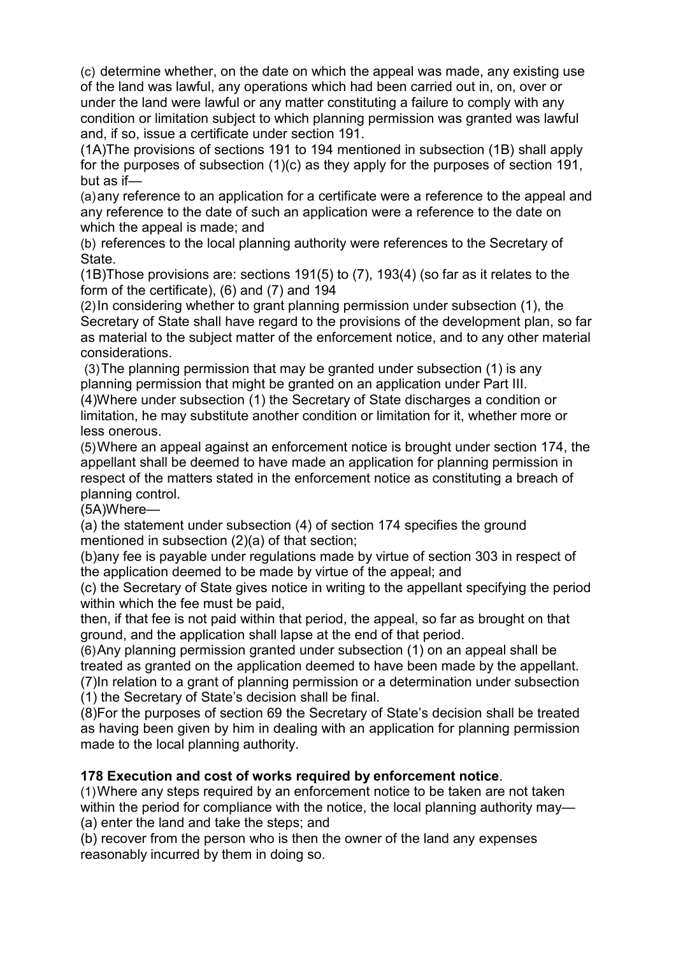(c) determine whether, on the date on which the appeal was made, any existing use of the land was lawful, any operations which had been carried out in, on, over or under the land were lawful or any matter constituting a failure to comply with any condition or limitation subject to which planning permission was granted was lawful and, if so, issue a certificate under section 191.

(1A)The provisions of sections 191 to 194 mentioned in subsection (1B) shall apply for the purposes of subsection (1)(c) as they apply for the purposes of section 191, but as if—

(a)any reference to an application for a certificate were a reference to the appeal and any reference to the date of such an application were a reference to the date on which the appeal is made; and

(b) references to the local planning authority were references to the Secretary of State.

(1B)Those provisions are: sections 191(5) to (7), 193(4) (so far as it relates to the form of the certificate), (6) and (7) and 194

(2)In considering whether to grant planning permission under subsection (1), the Secretary of State shall have regard to the provisions of the development plan, so far as material to the subject matter of the enforcement notice, and to any other material considerations.

(3)The planning permission that may be granted under subsection (1) is any planning permission that might be granted on an application under Part III.

(4)Where under subsection (1) the Secretary of State discharges a condition or limitation, he may substitute another condition or limitation for it, whether more or less onerous.

(5)Where an appeal against an enforcement notice is brought under section 174, the appellant shall be deemed to have made an application for planning permission in respect of the matters stated in the enforcement notice as constituting a breach of planning control.

(5A)Where—

(a) the statement under subsection (4) of section 174 specifies the ground mentioned in subsection (2)(a) of that section;

(b)any fee is payable under regulations made by virtue of section 303 in respect of the application deemed to be made by virtue of the appeal; and

(c) the Secretary of State gives notice in writing to the appellant specifying the period within which the fee must be paid,

then, if that fee is not paid within that period, the appeal, so far as brought on that ground, and the application shall lapse at the end of that period.

(6)Any planning permission granted under subsection (1) on an appeal shall be treated as granted on the application deemed to have been made by the appellant. (7)In relation to a grant of planning permission or a determination under subsection

(1) the Secretary of State's decision shall be final.

(8)For the purposes of section 69 the Secretary of State's decision shall be treated as having been given by him in dealing with an application for planning permission made to the local planning authority.

#### **178 Execution and cost of works required by enforcement notice**.

(1)Where any steps required by an enforcement notice to be taken are not taken within the period for compliance with the notice, the local planning authority may—

(a) enter the land and take the steps; and

(b) recover from the person who is then the owner of the land any expenses reasonably incurred by them in doing so.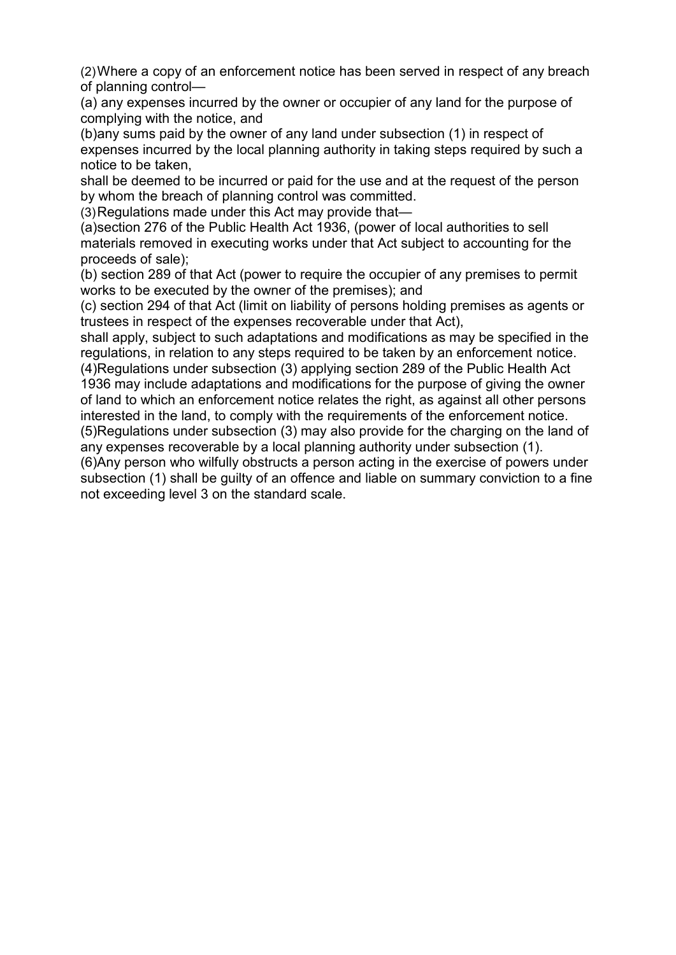(2)Where a copy of an enforcement notice has been served in respect of any breach of planning control—

(a) any expenses incurred by the owner or occupier of any land for the purpose of complying with the notice, and

(b)any sums paid by the owner of any land under subsection (1) in respect of expenses incurred by the local planning authority in taking steps required by such a notice to be taken,

shall be deemed to be incurred or paid for the use and at the request of the person by whom the breach of planning control was committed.

(3)Regulations made under this Act may provide that—

(a)section 276 of the Public Health Act 1936, (power of local authorities to sell materials removed in executing works under that Act subject to accounting for the proceeds of sale);

(b) section 289 of that Act (power to require the occupier of any premises to permit works to be executed by the owner of the premises); and

(c) section 294 of that Act (limit on liability of persons holding premises as agents or trustees in respect of the expenses recoverable under that Act),

shall apply, subject to such adaptations and modifications as may be specified in the regulations, in relation to any steps required to be taken by an enforcement notice. (4)Regulations under subsection (3) applying section 289 of the Public Health Act

1936 may include adaptations and modifications for the purpose of giving the owner of land to which an enforcement notice relates the right, as against all other persons interested in the land, to comply with the requirements of the enforcement notice. (5)Regulations under subsection (3) may also provide for the charging on the land of any expenses recoverable by a local planning authority under subsection (1).

(6)Any person who wilfully obstructs a person acting in the exercise of powers under subsection (1) shall be guilty of an offence and liable on summary conviction to a fine not exceeding level 3 on the standard scale.